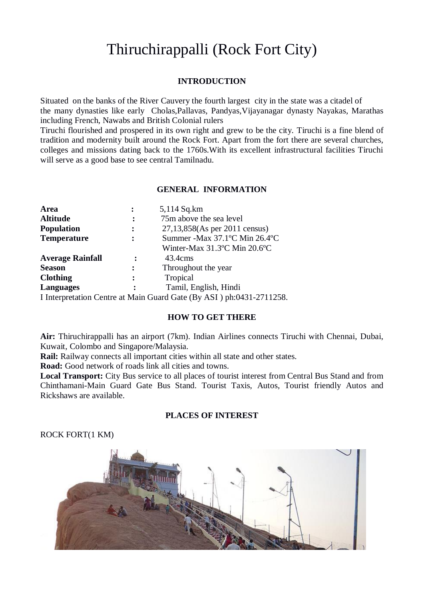# Thiruchirappalli (Rock Fort City)

## **INTRODUCTION**

Situated on the banks of the River Cauvery the fourth largest city in the state was a citadel of the many dynasties like early Cholas,Pallavas, Pandyas,Vijayanagar dynasty Nayakas, Marathas including French, Nawabs and British Colonial rulers

Tiruchi flourished and prospered in its own right and grew to be the city. Tiruchi is a fine blend of tradition and modernity built around the Rock Fort. Apart from the fort there are several churches, colleges and missions dating back to the 1760s.With its excellent infrastructural facilities Tiruchi will serve as a good base to see central Tamilnadu.

### **GENERAL INFORMATION**

| Area                    |                | 5,114 Sq.km                                                                    |
|-------------------------|----------------|--------------------------------------------------------------------------------|
| <b>Altitude</b>         | $\ddot{\cdot}$ | 75m above the sea level                                                        |
| <b>Population</b>       | ፡              | 27,13,858(As per 2011 census)                                                  |
| <b>Temperature</b>      |                | Summer - Max 37.1°C Min 26.4°C                                                 |
|                         |                | Winter-Max 31.3°C Min 20.6°C                                                   |
| <b>Average Rainfall</b> | :              | 43.4cm <sub>s</sub>                                                            |
| <b>Season</b>           |                | Throughout the year                                                            |
| <b>Clothing</b>         | :              | Tropical                                                                       |
| <b>Languages</b>        |                | Tamil, English, Hindi                                                          |
|                         |                | I Interpretation Centre at Main Guard Gate $(B_{V} \wedge SI)$ ph:0431 2711258 |

I Interpretation Centre at Main Guard Gate (By ASI ) ph:0431-2711258.

## **HOW TO GET THERE**

**Air:** Thiruchirappalli has an airport (7km). Indian Airlines connects Tiruchi with Chennai, Dubai, Kuwait, Colombo and Singapore/Malaysia.

**Rail:** Railway connects all important cities within all state and other states.

**Road:** Good network of roads link all cities and towns.

**Local Transport:** City Bus service to all places of tourist interest from Central Bus Stand and from Chinthamani-Main Guard Gate Bus Stand. Tourist Taxis, Autos, Tourist friendly Autos and Rickshaws are available.

## **PLACES OF INTEREST**

# ROCK FORT(1 KM)

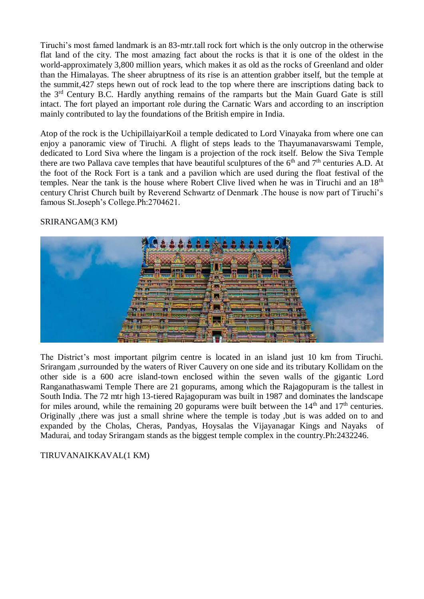Tiruchi's most famed landmark is an 83-mtr.tall rock fort which is the only outcrop in the otherwise flat land of the city. The most amazing fact about the rocks is that it is one of the oldest in the world-approximately 3,800 million years, which makes it as old as the rocks of Greenland and older than the Himalayas. The sheer abruptness of its rise is an attention grabber itself, but the temple at the summit,427 steps hewn out of rock lead to the top where there are inscriptions dating back to the 3rd Century B.C. Hardly anything remains of the ramparts but the Main Guard Gate is still intact. The fort played an important role during the Carnatic Wars and according to an inscription mainly contributed to lay the foundations of the British empire in India.

Atop of the rock is the UchipillaiyarKoil a temple dedicated to Lord Vinayaka from where one can enjoy a panoramic view of Tiruchi. A flight of steps leads to the Thayumanavarswami Temple, dedicated to Lord Siva where the lingam is a projection of the rock itself. Below the Siva Temple there are two Pallava cave temples that have beautiful sculptures of the  $6<sup>th</sup>$  and  $7<sup>th</sup>$  centuries A.D. At the foot of the Rock Fort is a tank and a pavilion which are used during the float festival of the temples. Near the tank is the house where Robert Clive lived when he was in Tiruchi and an 18th century Christ Church built by Reverend Schwartz of Denmark .The house is now part of Tiruchi's famous St.Joseph's College.Ph:2704621.

# SRIRANGAM(3 KM)



The District's most important pilgrim centre is located in an island just 10 km from Tiruchi. Srirangam ,surrounded by the waters of River Cauvery on one side and its tributary Kollidam on the other side is a 600 acre island-town enclosed within the seven walls of the gigantic Lord Ranganathaswami Temple There are 21 gopurams, among which the Rajagopuram is the tallest in South India. The 72 mtr high 13-tiered Rajagopuram was built in 1987 and dominates the landscape for miles around, while the remaining 20 gopurams were built between the  $14<sup>th</sup>$  and  $17<sup>th</sup>$  centuries. Originally ,there was just a small shrine where the temple is today ,but is was added on to and expanded by the Cholas, Cheras, Pandyas, Hoysalas the Vijayanagar Kings and Nayaks of Madurai, and today Srirangam stands as the biggest temple complex in the country.Ph:2432246.

# TIRUVANAIKKAVAL(1 KM)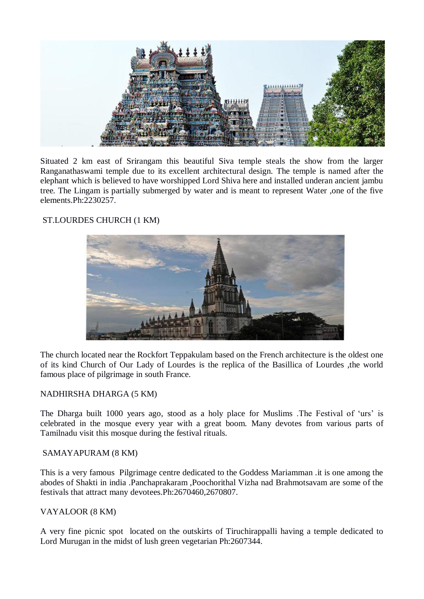

Situated 2 km east of Srirangam this beautiful Siva temple steals the show from the larger Ranganathaswami temple due to its excellent architectural design. The temple is named after the elephant which is believed to have worshipped Lord Shiva here and installed underan ancient jambu tree. The Lingam is partially submerged by water and is meant to represent Water ,one of the five elements.Ph:2230257.

# ST.LOURDES CHURCH (1 KM)



The church located near the Rockfort Teppakulam based on the French architecture is the oldest one of its kind Church of Our Lady of Lourdes is the replica of the Basillica of Lourdes ,the world famous place of pilgrimage in south France.

# NADHIRSHA DHARGA (5 KM)

The Dharga built 1000 years ago, stood as a holy place for Muslims .The Festival of 'urs' is celebrated in the mosque every year with a great boom. Many devotes from various parts of Tamilnadu visit this mosque during the festival rituals.

## SAMAYAPURAM (8 KM)

This is a very famous Pilgrimage centre dedicated to the Goddess Mariamman .it is one among the abodes of Shakti in india .Panchaprakaram ,Poochorithal Vizha nad Brahmotsavam are some of the festivals that attract many devotees.Ph:2670460,2670807.

# VAYALOOR (8 KM)

A very fine picnic spot located on the outskirts of Tiruchirappalli having a temple dedicated to Lord Murugan in the midst of lush green vegetarian Ph:2607344.